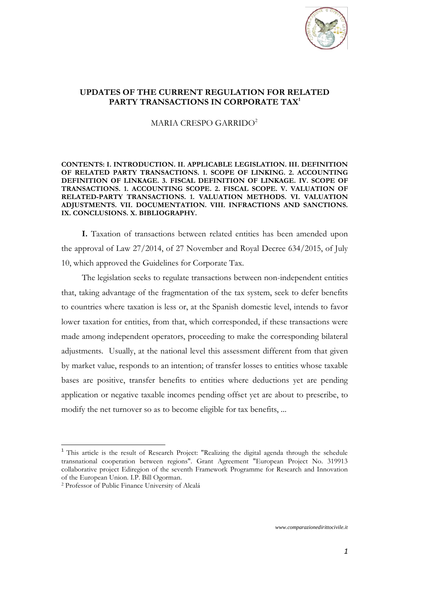

# **UPDATES OF THE CURRENT REGULATION FOR RELATED PARTY TRANSACTIONS IN CORPORATE TAX<sup>1</sup>**

MARIA CRESPO GARRIDO<sup>2</sup>

**CONTENTS: I. INTRODUCTION. II. APPLICABLE LEGISLATION. III. DEFINITION OF RELATED PARTY TRANSACTIONS. 1. SCOPE OF LINKING. 2. ACCOUNTING DEFINITION OF LINKAGE. 3. FISCAL DEFINITION OF LINKAGE. IV. SCOPE OF TRANSACTIONS. 1. ACCOUNTING SCOPE. 2. FISCAL SCOPE. V. VALUATION OF RELATED-PARTY TRANSACTIONS. 1. VALUATION METHODS. VI. VALUATION ADJUSTMENTS. VII. DOCUMENTATION. VIII. INFRACTIONS AND SANCTIONS. IX. CONCLUSIONS. X. BIBLIOGRAPHY.**

**I.** Taxation of transactions between related entities has been amended upon the approval of Law 27/2014, of 27 November and Royal Decree 634/2015, of July 10, which approved the Guidelines for Corporate Tax.

The legislation seeks to regulate transactions between non-independent entities that, taking advantage of the fragmentation of the tax system, seek to defer benefits to countries where taxation is less or, at the Spanish domestic level, intends to favor lower taxation for entities, from that, which corresponded, if these transactions were made among independent operators, proceeding to make the corresponding bilateral adjustments. Usually, at the national level this assessment different from that given by market value, responds to an intention; of transfer losses to entities whose taxable bases are positive, transfer benefits to entities where deductions yet are pending application or negative taxable incomes pending offset yet are about to prescribe, to modify the net turnover so as to become eligible for tax benefits, ...

 $\overline{a}$ 

*[www.comparazionedirittocivile.it](http://www.comparazionedirittocivile.it/)*

<sup>&</sup>lt;sup>1</sup> This article is the result of Research Project: "Realizing the digital agenda through the schedule transnational cooperation between regions". Grant Agreement "European Project No. 319913 collaborative project Ediregion of the seventh Framework Programme for Research and Innovation of the European Union. I.P. Bill Ogorman.

<sup>2</sup> Professor of Public Finance University of Alcalá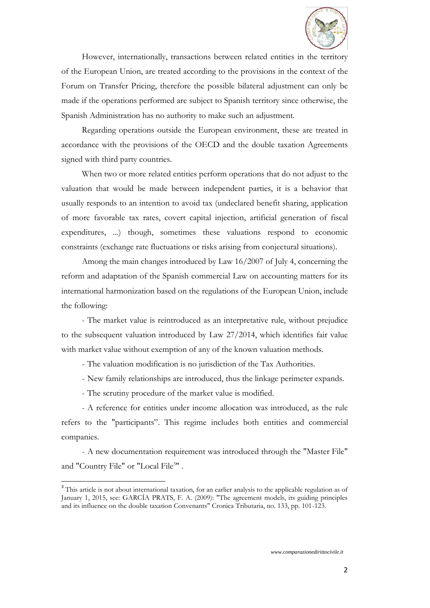

However, internationally, transactions between related entities in the territory of the European Union, are treated according to the provisions in the context of the Forum on Transfer Pricing, therefore the possible bilateral adjustment can only be made if the operations performed are subject to Spanish territory since otherwise, the Spanish Administration has no authority to make such an adjustment.

Regarding operations outside the European environment, these are treated in accordance with the provisions of the OECD and the double taxation Agreements signed with third party countries.

When two or more related entities perform operations that do not adjust to the valuation that would be made between independent parties, it is a behavior that usually responds to an intention to avoid tax (undeclared benefit sharing, application of more favorable tax rates, covert capital injection, artificial generation of fiscal expenditures, ...) though, sometimes these valuations respond to economic constraints (exchange rate fluctuations or risks arising from conjectural situations).

Among the main changes introduced by Law 16/2007 of July 4, concerning the reform and adaptation of the Spanish commercial Law on accounting matters for its international harmonization based on the regulations of the European Union, include the following:

- The market value is reintroduced as an interpretative rule, without prejudice to the subsequent valuation introduced by Law 27/2014, which identifies fair value with market value without exemption of any of the known valuation methods.

- The valuation modification is no jurisdiction of the Tax Authorities.

- New family relationships are introduced, thus the linkage perimeter expands.
- The scrutiny procedure of the market value is modified.

 $\overline{a}$ 

- A reference for entities under income allocation was introduced, as the rule refers to the "participants". This regime includes both entities and commercial companies.

- A new documentation requirement was introduced through the "Master File" and "Country File" or "Local File<sup>3</sup>".

<sup>&</sup>lt;sup>3</sup> This article is not about international taxation, for an earlier analysis to the applicable regulation as of January 1, 2015, see: GARCÍA PRATS, F. A. (2009): "The agreement models, its guiding principles and its influence on the double taxation Convenants" Cronica Tributaria, no. 133, pp. 101-123.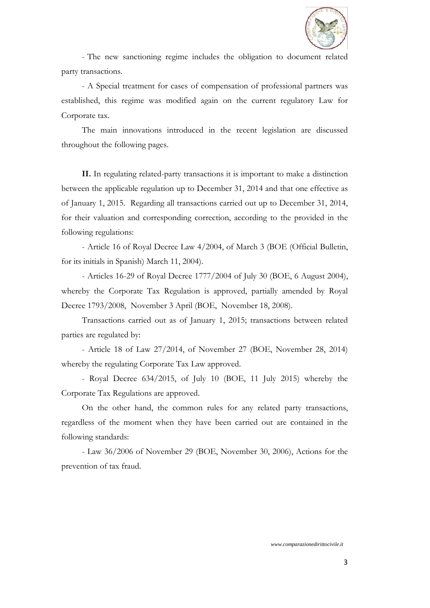

- The new sanctioning regime includes the obligation to document related party transactions.

- A Special treatment for cases of compensation of professional partners was established, this regime was modified again on the current regulatory Law for Corporate tax.

The main innovations introduced in the recent legislation are discussed throughout the following pages.

**II.** In regulating related-party transactions it is important to make a distinction between the applicable regulation up to December 31, 2014 and that one effective as of January 1, 2015. Regarding all transactions carried out up to December 31, 2014, for their valuation and corresponding correction, according to the provided in the following regulations:

- Article 16 of Royal Decree Law 4/2004, of March 3 (BOE (Official Bulletin, for its initials in Spanish) March 11, 2004).

- Articles 16-29 of Royal Decree 1777/2004 of July 30 (BOE, 6 August 2004), whereby the Corporate Tax Regulation is approved, partially amended by Royal Decree 1793/2008, November 3 April (BOE, November 18, 2008).

Transactions carried out as of January 1, 2015; transactions between related parties are regulated by:

- Article 18 of Law 27/2014, of November 27 (BOE, November 28, 2014) whereby the regulating Corporate Tax Law approved.

- Royal Decree 634/2015, of July 10 (BOE, 11 July 2015) whereby the Corporate Tax Regulations are approved.

On the other hand, the common rules for any related party transactions, regardless of the moment when they have been carried out are contained in the following standards:

- Law 36/2006 of November 29 (BOE, November 30, 2006), Actions for the prevention of tax fraud.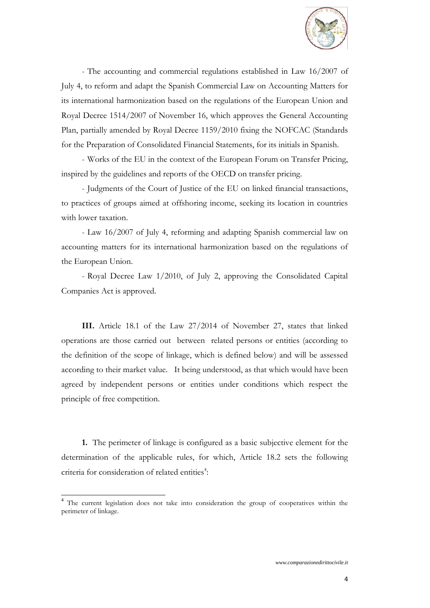

- The accounting and commercial regulations established in Law 16/2007 of July 4, to reform and adapt the Spanish Commercial Law on Accounting Matters for its international harmonization based on the regulations of the European Union and Royal Decree 1514/2007 of November 16, which approves the General Accounting Plan, partially amended by Royal Decree 1159/2010 fixing the NOFCAC (Standards for the Preparation of Consolidated Financial Statements, for its initials in Spanish.

- Works of the EU in the context of the European Forum on Transfer Pricing, inspired by the guidelines and reports of the OECD on transfer pricing.

- Judgments of the Court of Justice of the EU on linked financial transactions, to practices of groups aimed at offshoring income, seeking its location in countries with lower taxation.

- Law 16/2007 of July 4, reforming and adapting Spanish commercial law on accounting matters for its international harmonization based on the regulations of the European Union.

- Royal Decree Law 1/2010, of July 2, approving the Consolidated Capital Companies Act is approved.

**III.** Article 18.1 of the Law 27/2014 of November 27, states that linked operations are those carried out between related persons or entities (according to the definition of the scope of linkage, which is defined below) and will be assessed according to their market value. It being understood, as that which would have been agreed by independent persons or entities under conditions which respect the principle of free competition.

**1.** The perimeter of linkage is configured as a basic subjective element for the determination of the applicable rules, for which, Article 18.2 sets the following criteria for consideration of related entities<sup>4</sup>:

<sup>&</sup>lt;sup>4</sup> The current legislation does not take into consideration the group of cooperatives within the perimeter of linkage.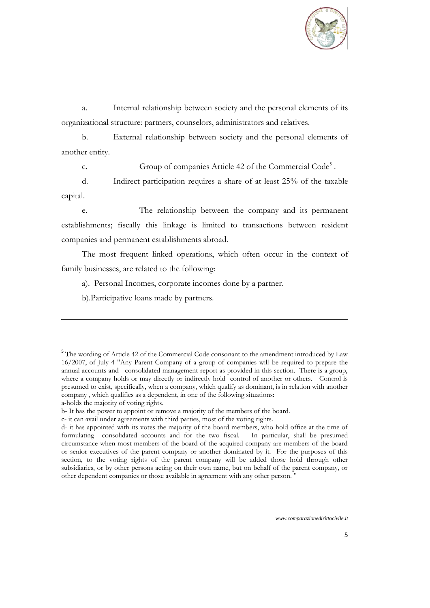

a. Internal relationship between society and the personal elements of its organizational structure: partners, counselors, administrators and relatives.

b. External relationship between society and the personal elements of another entity.

c. Group of companies Article 42 of the Commercial Code<sup>5</sup>.

d. Indirect participation requires a share of at least 25% of the taxable capital.

e. The relationship between the company and its permanent establishments; fiscally this linkage is limited to transactions between resident companies and permanent establishments abroad.

The most frequent linked operations, which often occur in the context of family businesses, are related to the following:

a). Personal Incomes, corporate incomes done by a partner.

b).Participative loans made by partners.

<sup>&</sup>lt;sup>5</sup> The wording of Article 42 of the Commercial Code consonant to the amendment introduced by Law 16/2007, of July 4 "Any Parent Company of a group of companies will be required to prepare the annual accounts and consolidated management report as provided in this section. There is a group, where a company holds or may directly or indirectly hold control of another or others. Control is presumed to exist, specifically, when a company, which qualify as dominant, is in relation with another company , which qualifies as a dependent, in one of the following situations: a-holds the majority of voting rights.

b- It has the power to appoint or remove a majority of the members of the board.

c- it can avail under agreements with third parties, most of the voting rights.

d- it has appointed with its votes the majority of the board members, who hold office at the time of formulating consolidated accounts and for the two fiscal. In particular, shall be presumed circumstance when most members of the board of the acquired company are members of the board or senior executives of the parent company or another dominated by it. For the purposes of this section, to the voting rights of the parent company will be added those hold through other subsidiaries, or by other persons acting on their own name, but on behalf of the parent company, or other dependent companies or those available in agreement with any other person. "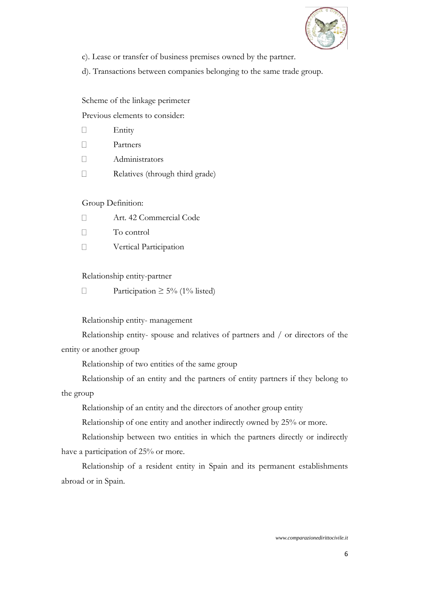

c). Lease or transfer of business premises owned by the partner.

d). Transactions between companies belonging to the same trade group.

Scheme of the linkage perimeter

Previous elements to consider:

- $\Box$ Entity
- $\Box$ Partners
- $\Box$ Administrators
- $\Box$ Relatives (through third grade)

# Group Definition:

- $\Box$ Art. 42 Commercial Code
- $\Box$ To control
- $\Box$ Vertical Participation

# Relationship entity-partner

 $\Box$ Participation  $\geq 5\%$  (1% listed)

# Relationship entity- management

Relationship entity- spouse and relatives of partners and / or directors of the entity or another group

Relationship of two entities of the same group

Relationship of an entity and the partners of entity partners if they belong to the group

Relationship of an entity and the directors of another group entity

Relationship of one entity and another indirectly owned by 25% or more.

Relationship between two entities in which the partners directly or indirectly have a participation of 25% or more.

Relationship of a resident entity in Spain and its permanent establishments abroad or in Spain.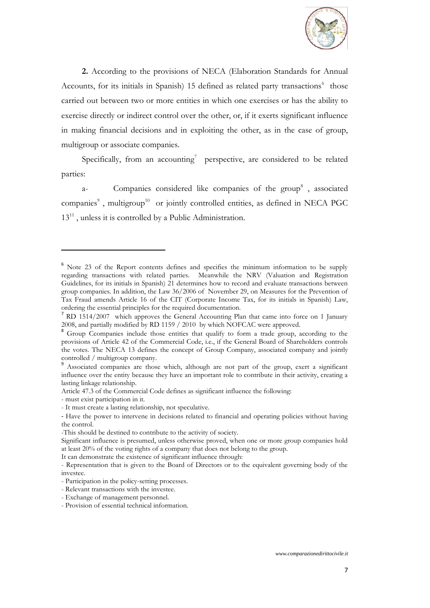

**2.** According to the provisions of NECA (Elaboration Standards for Annual Accounts, for its initials in Spanish) 15 defined as related party transactions<sup>6</sup> those carried out between two or more entities in which one exercises or has the ability to exercise directly or indirect control over the other, or, if it exerts significant influence in making financial decisions and in exploiting the other, as in the case of group, multigroup or associate companies.

Specifically, from an accounting<sup>7</sup> perspective, are considered to be related parties:

a- Companies considered like companies of the group<sup>8</sup>, associated companies<sup>9</sup>, multigroup<sup>10</sup> or jointly controlled entities, as defined in NECA PGC  $13<sup>11</sup>$ , unless it is controlled by a Public Administration.

 $\overline{a}$ 

It can demonstrate the existence of significant influence through:

 $6$  Note 23 of the Report contents defines and specifies the minimum information to be supply regarding transactions with related parties. Meanwhile the NRV (Valuation and Registration Guidelines, for its initials in Spanish) 21 determines how to record and evaluate transactions between group companies. In addition, the Law 36/2006 of November 29, on Measures for the Prevention of Tax Fraud amends Article 16 of the CIT (Corporate Income Tax, for its initials in Spanish) Law, ordering the essential principles for the required documentation.

<sup>&</sup>lt;sup>7</sup> RD 1514/2007 which approves the General Accounting Plan that came into force on 1 January 2008, and partially modified by RD 1159 / 2010 by which NOFCAC were approved.

Group Ccompanies include those entities that qualify to form a trade group, according to the provisions of Article 42 of the Commercial Code, i.e., if the General Board of Shareholders controls the votes. The NECA 13 defines the concept of Group Company, associated company and jointly controlled / multigroup company.

<sup>9</sup> Associated companies are those which, although are not part of the group, exert a significant influence over the entity because they have an important role to contribute in their activity, creating a lasting linkage relationship.

Article 47.3 of the Commercial Code defines as significant influence the following:

<sup>-</sup> must exist participation in it.

<sup>-</sup> It must create a lasting relationship, not speculative.

<sup>-</sup> Have the power to intervene in decisions related to financial and operating policies without having the control.

<sup>-</sup>This should be destined to contribute to the activity of society.

Significant influence is presumed, unless otherwise proved, when one or more group companies hold at least 20% of the voting rights of a company that does not belong to the group.

<sup>-</sup> Representation that is given to the Board of Directors or to the equivalent governing body of the investee.

<sup>-</sup> Participation in the policy-setting processes.

<sup>-</sup> Relevant transactions with the investee.

<sup>-</sup> Exchange of management personnel.

<sup>-</sup> Provision of essential technical information.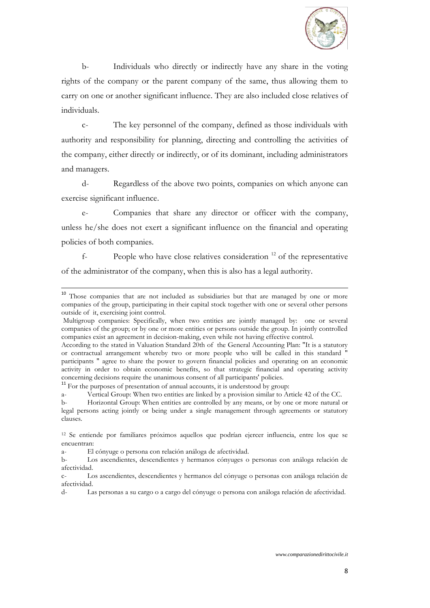

b- Individuals who directly or indirectly have any share in the voting rights of the company or the parent company of the same, thus allowing them to carry on one or another significant influence. They are also included close relatives of individuals.

c- The key personnel of the company, defined as those individuals with authority and responsibility for planning, directing and controlling the activities of the company, either directly or indirectly, or of its dominant, including administrators and managers.

d- Regardless of the above two points, companies on which anyone can exercise significant influence.

e- Companies that share any director or officer with the company, unless he/she does not exert a significant influence on the financial and operating policies of both companies.

 $f$ - People who have close relatives consideration  $^{12}$  of the representative of the administrator of the company, when this is also has a legal authority.

<sup>11</sup> For the purposes of presentation of annual accounts, it is understood by group:

a- Vertical Group: When two entities are linked by a provision similar to Article 42 of the CC.

<sup>&</sup>lt;sup>10</sup> Those companies that are not included as subsidiaries but that are managed by one or more companies of the group, participating in their capital stock together with one or several other persons outside of it, exercising joint control.

Multigroup companies: Specifically, when two entities are jointly managed by: one or several companies of the group; or by one or more entities or persons outside the group. In jointly controlled companies exist an agreement in decision-making, even while not having effective control.

According to the stated in Valuation Standard 20th of the General Accounting Plan: "It is a statutory or contractual arrangement whereby two or more people who will be called in this standard " participants " agree to share the power to govern financial policies and operating on an economic activity in order to obtain economic benefits, so that strategic financial and operating activity concerning decisions require the unanimous consent of all participants' policies.

b- Horizontal Group: When entities are controlled by any means, or by one or more natural or legal persons acting jointly or being under a single management through agreements or statutory clauses.

<sup>12</sup> Se entiende por familiares próximos aquellos que podrían ejercer influencia, entre los que se encuentran:

a- El cónyuge o persona con relación análoga de afectividad.

b- Los ascendientes, descendientes y hermanos cónyuges o personas con análoga relación de afectividad.

c- Los ascendientes, descendientes y hermanos del cónyuge o personas con análoga relación de afectividad.

d- Las personas a su cargo o a cargo del cónyuge o persona con análoga relación de afectividad.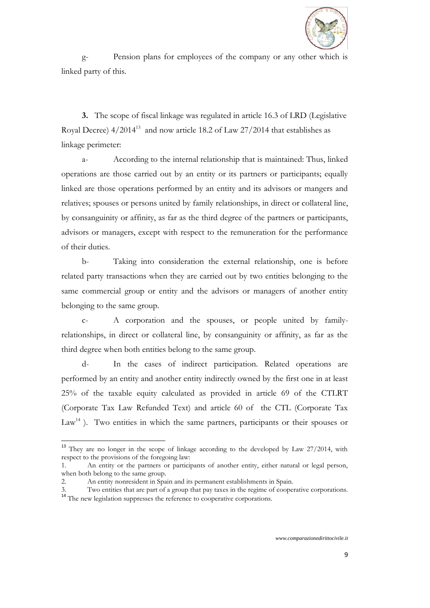

g- Pension plans for employees of the company or any other which is linked party of this.

**3.** The scope of fiscal linkage was regulated in article 16.3 of LRD (Legislative Royal Decree)  $4/2014^{13}$  and now article 18.2 of Law 27/2014 that establishes as linkage perimeter:

a- According to the internal relationship that is maintained: Thus, linked operations are those carried out by an entity or its partners or participants; equally linked are those operations performed by an entity and its advisors or mangers and relatives; spouses or persons united by family relationships, in direct or collateral line, by consanguinity or affinity, as far as the third degree of the partners or participants, advisors or managers, except with respect to the remuneration for the performance of their duties.

b- Taking into consideration the external relationship, one is before related party transactions when they are carried out by two entities belonging to the same commercial group or entity and the advisors or managers of another entity belonging to the same group.

c- A corporation and the spouses, or people united by familyrelationships, in direct or collateral line, by consanguinity or affinity, as far as the third degree when both entities belong to the same group.

d- In the cases of indirect participation. Related operations are performed by an entity and another entity indirectly owned by the first one in at least 25% of the taxable equity calculated as provided in article 69 of the CTLRT (Corporate Tax Law Refunded Text) and article 60 of the CTL (Corporate Tax  $Law<sup>14</sup>$ ). Two entities in which the same partners, participants or their spouses or

<sup>&</sup>lt;sup>13</sup> They are no longer in the scope of linkage according to the developed by Law 27/2014, with respect to the provisions of the foregoing law:

<sup>1.</sup> An entity or the partners or participants of another entity, either natural or legal person, when both belong to the same group.

<sup>2.</sup> An entity nonresident in Spain and its permanent establishments in Spain.

Two entities that are part of a group that pay taxes in the regime of cooperative corporations. 3. Two entities that are part or a group  $\mu$  at  $\mu$  as  $\mu$  and  $\mu$  The new legislation suppresses the reference to cooperative corporations.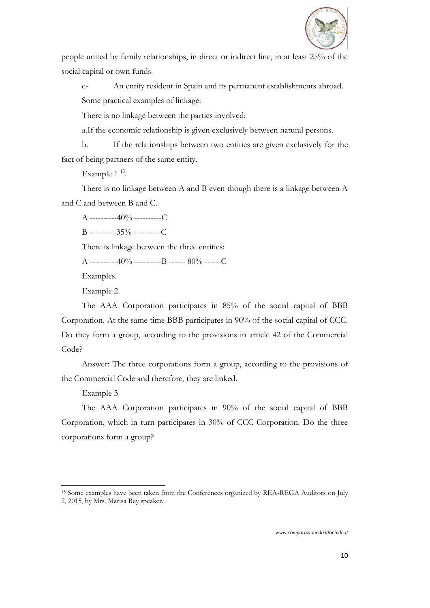

people united by family relationships, in direct or indirect line, in at least 25% of the social capital or own funds.

e- An entity resident in Spain and its permanent establishments abroad. Some practical examples of linkage:

There is no linkage between the parties involved:

a.If the economic relationship is given exclusively between natural persons.

b. If the relationships between two entities are given exclusively for the fact of being partners of the same entity.

Example  $1<sup>15</sup>$ .

There is no linkage between A and B even though there is a linkage between A and C and between B and C.

A ----------40% ----------C

 $B$  ----------35% ----------C

There is linkage between the three entities:

A ----------40% ----------B ------ 80% ------C

Examples.

Example 2.

The AAA Corporation participates in 85% of the social capital of BBB Corporation. At the same time BBB participates in 90% of the social capital of CCC. Do they form a group, according to the provisions in article 42 of the Commercial Code?

Answer: The three corporations form a group, according to the provisions of the Commercial Code and therefore, they are linked.

Example 3

 $\overline{a}$ 

The AAA Corporation participates in 90% of the social capital of BBB Corporation, which in turn participates in 30% of CCC Corporation. Do the three corporations form a group?

<sup>&</sup>lt;sup>15</sup> Some examples have been taken from the Conferences organized by REA-REGA Auditors on July 2, 2015, by Mrs. Marisa Rey speaker.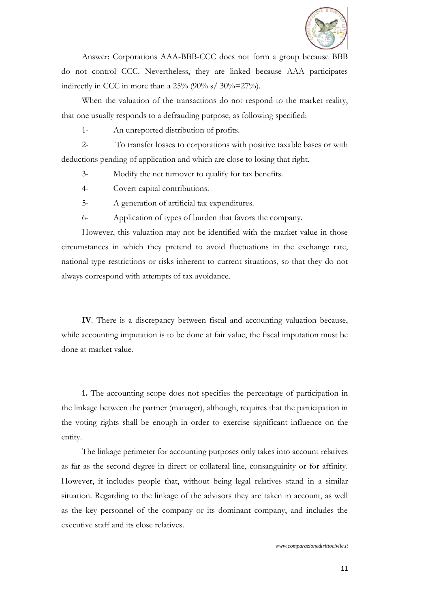

Answer: Corporations AAA-BBB-CCC does not form a group because BBB do not control CCC. Nevertheless, they are linked because AAA participates indirectly in CCC in more than a  $25\%$  (90% s/ 30%=27%).

When the valuation of the transactions do not respond to the market reality, that one usually responds to a defrauding purpose, as following specified:

1- An unreported distribution of profits.

2- To transfer losses to corporations with positive taxable bases or with deductions pending of application and which are close to losing that right.

3- Modify the net turnover to qualify for tax benefits.

4- Covert capital contributions.

5- A generation of artificial tax expenditures.

6- Application of types of burden that favors the company.

However, this valuation may not be identified with the market value in those circumstances in which they pretend to avoid fluctuations in the exchange rate, national type restrictions or risks inherent to current situations, so that they do not always correspond with attempts of tax avoidance.

**IV**. There is a discrepancy between fiscal and accounting valuation because, while accounting imputation is to be done at fair value, the fiscal imputation must be done at market value.

**1.** The accounting scope does not specifies the percentage of participation in the linkage between the partner (manager), although, requires that the participation in the voting rights shall be enough in order to exercise significant influence on the entity.

The linkage perimeter for accounting purposes only takes into account relatives as far as the second degree in direct or collateral line, consanguinity or for affinity. However, it includes people that, without being legal relatives stand in a similar situation. Regarding to the linkage of the advisors they are taken in account, as well as the key personnel of the company or its dominant company, and includes the executive staff and its close relatives.

*www.comparazionedirittocivile.it*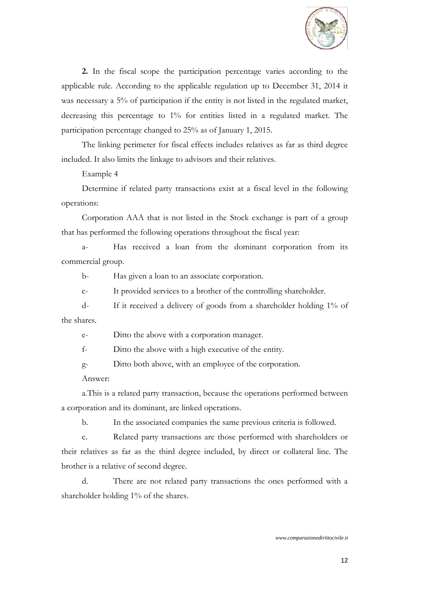

**2.** In the fiscal scope the participation percentage varies according to the applicable rule. According to the applicable regulation up to December 31, 2014 it was necessary a 5% of participation if the entity is not listed in the regulated market, decreasing this percentage to 1% for entities listed in a regulated market. The participation percentage changed to 25% as of January 1, 2015.

The linking perimeter for fiscal effects includes relatives as far as third degree included. It also limits the linkage to advisors and their relatives.

Example 4

Determine if related party transactions exist at a fiscal level in the following operations:

Corporation AAA that is not listed in the Stock exchange is part of a group that has performed the following operations throughout the fiscal year:

a- Has received a loan from the dominant corporation from its commercial group.

b- Has given a loan to an associate corporation.

c- It provided services to a brother of the controlling shareholder.

d- If it received a delivery of goods from a shareholder holding 1% of the shares.

e- Ditto the above with a corporation manager.

f- Ditto the above with a high executive of the entity.

g- Ditto both above, with an employee of the corporation.

Answer:

a.This is a related party transaction, because the operations performed between a corporation and its dominant, are linked operations.

b. In the associated companies the same previous criteria is followed.

c. Related party transactions are those performed with shareholders or their relatives as far as the third degree included, by direct or collateral line. The brother is a relative of second degree.

d. There are not related party transactions the ones performed with a shareholder holding 1% of the shares.

*www.comparazionedirittocivile.it*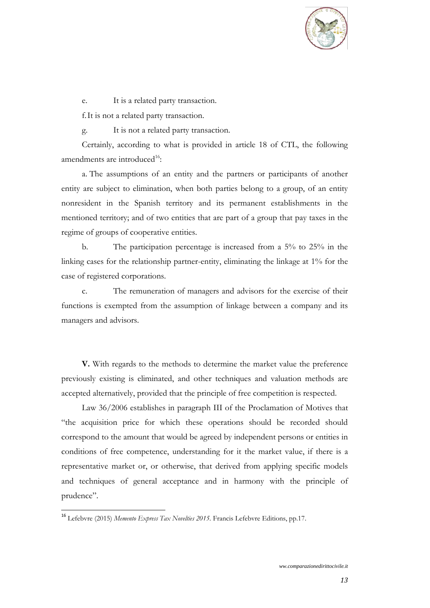

e. It is a related party transaction.

f.It is not a related party transaction.

g. It is not a related party transaction.

Certainly, according to what is provided in article 18 of CTL, the following amendments are introduced $16$ :

a. The assumptions of an entity and the partners or participants of another entity are subject to elimination, when both parties belong to a group, of an entity nonresident in the Spanish territory and its permanent establishments in the mentioned territory; and of two entities that are part of a group that pay taxes in the regime of groups of cooperative entities.

b. The participation percentage is increased from a 5% to 25% in the linking cases for the relationship partner-entity, eliminating the linkage at 1% for the case of registered corporations.

c. The remuneration of managers and advisors for the exercise of their functions is exempted from the assumption of linkage between a company and its managers and advisors.

**V.** With regards to the methods to determine the market value the preference previously existing is eliminated, and other techniques and valuation methods are accepted alternatively, provided that the principle of free competition is respected.

Law 36/2006 establishes in paragraph III of the Proclamation of Motives that "the acquisition price for which these operations should be recorded should correspond to the amount that would be agreed by independent persons or entities in conditions of free competence, understanding for it the market value, if there is a representative market or, or otherwise, that derived from applying specific models and techniques of general acceptance and in harmony with the principle of prudence".

<sup>16</sup> Lefebvre (2015) *Memento Express Tax Novelties 2015.* Francis Lefebvre Editions, pp.17.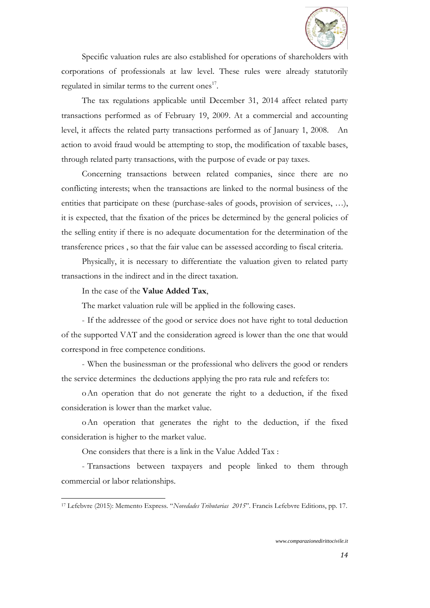

Specific valuation rules are also established for operations of shareholders with corporations of professionals at law level. These rules were already statutorily regulated in similar terms to the current ones $^{17}$ .

The tax regulations applicable until December 31, 2014 affect related party transactions performed as of February 19, 2009. At a commercial and accounting level, it affects the related party transactions performed as of January 1, 2008. An action to avoid fraud would be attempting to stop, the modification of taxable bases, through related party transactions, with the purpose of evade or pay taxes.

Concerning transactions between related companies, since there are no conflicting interests; when the transactions are linked to the normal business of the entities that participate on these (purchase-sales of goods, provision of services, …), it is expected, that the fixation of the prices be determined by the general policies of the selling entity if there is no adequate documentation for the determination of the transference prices , so that the fair value can be assessed according to fiscal criteria.

Physically, it is necessary to differentiate the valuation given to related party transactions in the indirect and in the direct taxation.

In the case of the **Value Added Tax**,

 $\overline{a}$ 

The market valuation rule will be applied in the following cases.

- If the addressee of the good or service does not have right to total deduction of the supported VAT and the consideration agreed is lower than the one that would correspond in free competence conditions.

- When the businessman or the professional who delivers the good or renders the service determines the deductions applying the pro rata rule and refefers to:

oAn operation that do not generate the right to a deduction, if the fixed consideration is lower than the market value.

oAn operation that generates the right to the deduction, if the fixed consideration is higher to the market value.

One considers that there is a link in the Value Added Tax :

- Transactions between taxpayers and people linked to them through commercial or labor relationships.

<sup>17</sup> Lefebvre (2015): Memento Express. "*Novedades Tributarias 2015*". Francis Lefebvre Editions, pp. 17.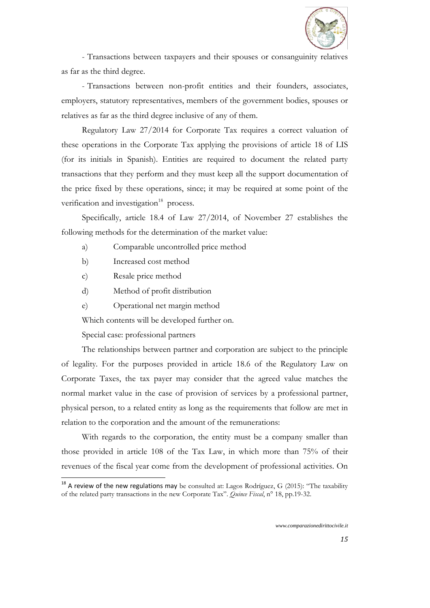

- Transactions between taxpayers and their spouses or consanguinity relatives as far as the third degree.

- Transactions between non-profit entities and their founders, associates, employers, statutory representatives, members of the government bodies, spouses or relatives as far as the third degree inclusive of any of them.

Regulatory Law 27/2014 for Corporate Tax requires a correct valuation of these operations in the Corporate Tax applying the provisions of article 18 of LIS (for its initials in Spanish). Entities are required to document the related party transactions that they perform and they must keep all the support documentation of the price fixed by these operations, since; it may be required at some point of the verification and investigation<sup>18</sup> process.

Specifically, article 18.4 of Law 27/2014, of November 27 establishes the following methods for the determination of the market value:

- a) Comparable uncontrolled price method
- b) Increased cost method
- c) Resale price method
- d) Method of profit distribution
- e) Operational net margin method

Which contents will be developed further on.

Special case: professional partners

 $\overline{a}$ 

The relationships between partner and corporation are subject to the principle of legality. For the purposes provided in article 18.6 of the Regulatory Law on Corporate Taxes, the tax payer may consider that the agreed value matches the normal market value in the case of provision of services by a professional partner, physical person, to a related entity as long as the requirements that follow are met in relation to the corporation and the amount of the remunerations:

With regards to the corporation, the entity must be a company smaller than those provided in article 108 of the Tax Law, in which more than 75% of their revenues of the fiscal year come from the development of professional activities. On

 $18$  A review of the new regulations may be consulted at: Lagos Rodríguez, G (2015): "The taxability of the related party transactions in the new Corporate Tax". *Quince Fiscal*, n° 18, pp.19-32.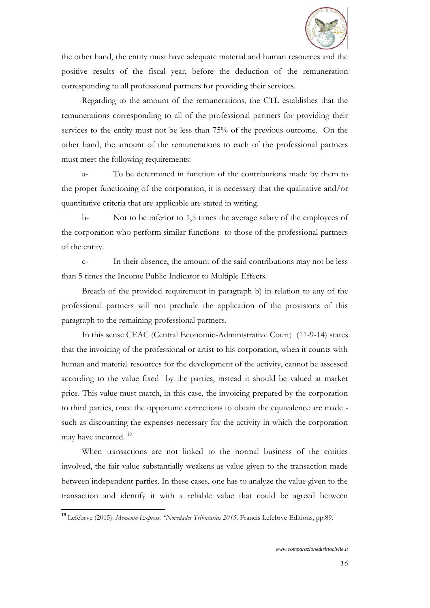

the other hand, the entity must have adequate material and human resources and the positive results of the fiscal year, before the deduction of the remuneration corresponding to all professional partners for providing their services.

Regarding to the amount of the remunerations, the CTL establishes that the remunerations corresponding to all of the professional partners for providing their services to the entity must not be less than 75% of the previous outcome. On the other hand, the amount of the remunerations to each of the professional partners must meet the following requirements:

a- To be determined in function of the contributions made by them to the proper functioning of the corporation, it is necessary that the qualitative and/or quantitative criteria that are applicable are stated in writing.

b- Not to be inferior to 1,5 times the average salary of the employees of the corporation who perform similar functions to those of the professional partners of the entity.

c- In their absence, the amount of the said contributions may not be less than 5 times the Income Public Indicator to Multiple Effects.

Breach of the provided requirement in paragraph b) in relation to any of the professional partners will not preclude the application of the provisions of this paragraph to the remaining professional partners.

In this sense CEAC (Central Economic-Administrative Court) (11-9-14) states that the invoicing of the professional or artist to his corporation, when it counts with human and material resources for the development of the activity, cannot be assessed according to the value fixed by the parties, instead it should be valued at market price. This value must match, in this case, the invoicing prepared by the corporation to third parties, once the opportune corrections to obtain the equivalence are made such as discounting the expenses necessary for the activity in which the corporation may have incurred.<sup>19</sup>

When transactions are not linked to the normal business of the entities involved, the fair value substantially weakens as value given to the transaction made between independent parties. In these cases, one has to analyze the value given to the transaction and identify it with a reliable value that could be agreed between

<sup>19</sup> Lefebrve (2015): *Memento Express. "Novedades Tributarias 2015*. Francis Lefebrve Editions, pp.89.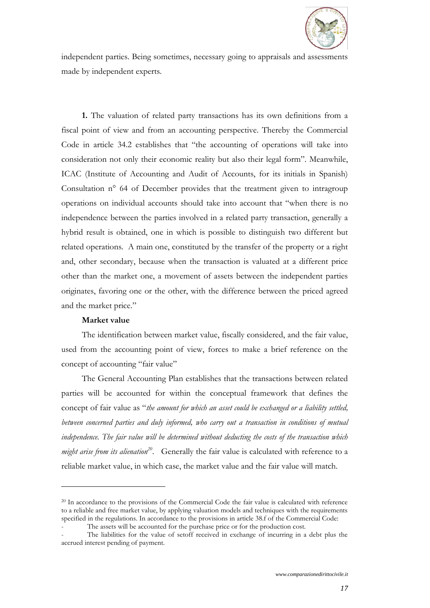

independent parties. Being sometimes, necessary going to appraisals and assessments made by independent experts.

**1.** The valuation of related party transactions has its own definitions from a fiscal point of view and from an accounting perspective. Thereby the Commercial Code in article 34.2 establishes that "the accounting of operations will take into consideration not only their economic reality but also their legal form". Meanwhile, ICAC (Institute of Accounting and Audit of Accounts, for its initials in Spanish) Consultation n° 64 of December provides that the treatment given to intragroup operations on individual accounts should take into account that "when there is no independence between the parties involved in a related party transaction, generally a hybrid result is obtained, one in which is possible to distinguish two different but related operations. A main one, constituted by the transfer of the property or a right and, other secondary, because when the transaction is valuated at a different price other than the market one, a movement of assets between the independent parties originates, favoring one or the other, with the difference between the priced agreed and the market price."

#### **Market value**

 $\overline{a}$ 

The identification between market value, fiscally considered, and the fair value, used from the accounting point of view, forces to make a brief reference on the concept of accounting "fair value"

The General Accounting Plan establishes that the transactions between related parties will be accounted for within the conceptual framework that defines the concept of fair value as "*the amount for which an asset could be exchanged or a liability settled, between concerned parties and duly informed, who carry out a transaction in conditions of mutual independence. The fair value will be determined without deducting the costs of the transaction which might arise from its alienation<sup>20</sup>*. Generally the fair value is calculated with reference to a reliable market value, in which case, the market value and the fair value will match.

<sup>&</sup>lt;sup>20</sup> In accordance to the provisions of the Commercial Code the fair value is calculated with reference to a reliable and free market value, by applying valuation models and techniques with the requirements specified in the regulations. In accordance to the provisions in article 38.f of the Commercial Code:

The assets will be accounted for the purchase price or for the production cost.

The liabilities for the value of setoff received in exchange of incurring in a debt plus the accrued interest pending of payment.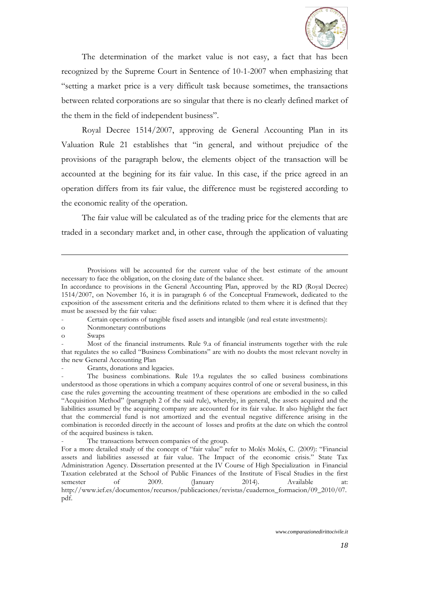

The determination of the market value is not easy, a fact that has been recognized by the Supreme Court in Sentence of 10-1-2007 when emphasizing that "setting a market price is a very difficult task because sometimes, the transactions between related corporations are so singular that there is no clearly defined market of the them in the field of independent business".

Royal Decree 1514/2007, approving de General Accounting Plan in its Valuation Rule 21 establishes that "in general, and without prejudice of the provisions of the paragraph below, the elements object of the transaction will be accounted at the begining for its fair value. In this case, if the price agreed in an operation differs from its fair value, the difference must be registered according to the economic reality of the operation.

The fair value will be calculated as of the trading price for the elements that are traded in a secondary market and, in other case, through the application of valuating

- o Nonmonetary contributions
- o Swaps

 $\overline{a}$ 

Grants, donations and legacies.

The transactions between companies of the group.

Provisions will be accounted for the current value of the best estimate of the amount necessary to face the obligation, on the closing date of the balance sheet.

In accordance to provisions in the General Accounting Plan, approved by the RD (Royal Decree) 1514/2007, on November 16, it is in paragraph 6 of the Conceptual Framework, dedicated to the exposition of the assessment criteria and the definitions related to them where it is defined that they must be assessed by the fair value:

<sup>-</sup> Certain operations of tangible fixed assets and intangible (and real estate investments):

<sup>-</sup> Most of the financial instruments. Rule 9.a of financial instruments together with the rule that regulates the so called "Business Combinations" are with no doubts the most relevant novelty in the new General Accounting Plan

The business combinations. Rule 19.a regulates the so called business combinations understood as those operations in which a company acquires control of one or several business, in this case the rules governing the accounting treatment of these operations are embodied in the so called "Acquisition Method" (paragraph 2 of the said rule), whereby, in general, the assets acquired and the liabilities assumed by the acquiring company are accounted for its fair value. It also highlight the fact that the commercial fund is not amortized and the eventual negative difference arising in the combination is recorded directly in the account of losses and profits at the date on which the control of the acquired business is taken.

For a more detailed study of the concept of "fair value" refer to Molés Molés, C. (2009): "Financial assets and liabilities assessed at fair value. The Impact of the economic crisis." State Tax Administration Agency. Dissertation presented at the IV Course of High Specialization in Financial Taxation celebrated at the School of Public Finances of the Institute of Fiscal Studies in the first semester of 2009. (January 2014). Available at: http://www.ief.es/documentos/recursos/publicaciones/revistas/cuadernos\_formacion/09\_2010/07. pdf.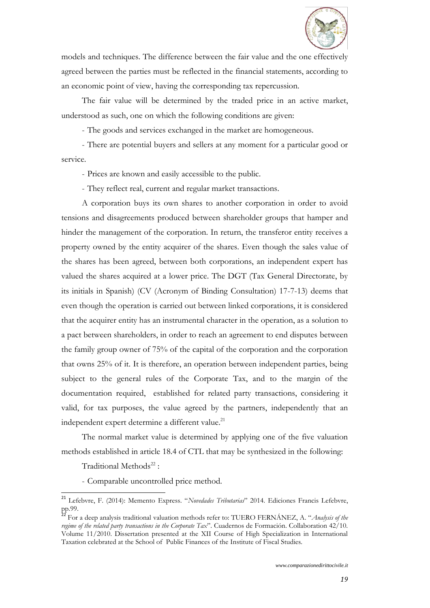

models and techniques. The difference between the fair value and the one effectively agreed between the parties must be reflected in the financial statements, according to an economic point of view, having the corresponding tax repercussion.

The fair value will be determined by the traded price in an active market, understood as such, one on which the following conditions are given:

- The goods and services exchanged in the market are homogeneous.

- There are potential buyers and sellers at any moment for a particular good or service.

- Prices are known and easily accessible to the public.

- They reflect real, current and regular market transactions.

A corporation buys its own shares to another corporation in order to avoid tensions and disagreements produced between shareholder groups that hamper and hinder the management of the corporation. In return, the transferor entity receives a property owned by the entity acquirer of the shares. Even though the sales value of the shares has been agreed, between both corporations, an independent expert has valued the shares acquired at a lower price. The DGT (Tax General Directorate, by its initials in Spanish) (CV (Acronym of Binding Consultation) 17-7-13) deems that even though the operation is carried out between linked corporations, it is considered that the acquirer entity has an instrumental character in the operation, as a solution to a pact between shareholders, in order to reach an agreement to end disputes between the family group owner of 75% of the capital of the corporation and the corporation that owns 25% of it. It is therefore, an operation between independent parties, being subject to the general rules of the Corporate Tax, and to the margin of the documentation required, established for related party transactions, considering it valid, for tax purposes, the value agreed by the partners, independently that an independent expert determine a different value.<sup>21</sup>

The normal market value is determined by applying one of the five valuation methods established in article 18.4 of CTL that may be synthesized in the following:

Traditional Methods<sup>22</sup>:

 $\overline{a}$ 

- Comparable uncontrolled price method.

<sup>21</sup> Lefebvre, F. (2014): Memento Express. "*Novedades Tributarias*" 2014. Ediciones Francis Lefebvre, pp.99.

<sup>22</sup> For a deep analysis traditional valuation methods refer to: TUERO FERNÁNEZ, A. "*Analysis of the regime of the related party transactions in the Corporate Tax*". Cuadernos de Formación. Collaboration 42/10. Volume 11/2010. Dissertation presented at the XII Course of High Specialization in International Taxation celebrated at the School of Public Finances of the Institute of Fiscal Studies.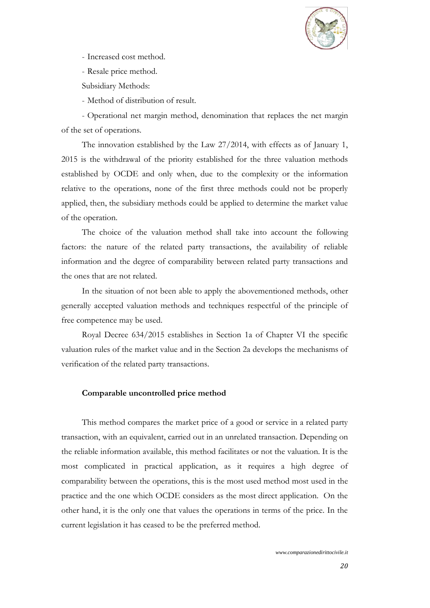

- Increased cost method.
- Resale price method.
- Subsidiary Methods:

- Method of distribution of result.

- Operational net margin method, denomination that replaces the net margin of the set of operations.

The innovation established by the Law 27/2014, with effects as of January 1, 2015 is the withdrawal of the priority established for the three valuation methods established by OCDE and only when, due to the complexity or the information relative to the operations, none of the first three methods could not be properly applied, then, the subsidiary methods could be applied to determine the market value of the operation.

The choice of the valuation method shall take into account the following factors: the nature of the related party transactions, the availability of reliable information and the degree of comparability between related party transactions and the ones that are not related.

In the situation of not been able to apply the abovementioned methods, other generally accepted valuation methods and techniques respectful of the principle of free competence may be used.

Royal Decree 634/2015 establishes in Section 1a of Chapter VI the specific valuation rules of the market value and in the Section 2a develops the mechanisms of verification of the related party transactions.

#### **Comparable uncontrolled price method**

This method compares the market price of a good or service in a related party transaction, with an equivalent, carried out in an unrelated transaction. Depending on the reliable information available, this method facilitates or not the valuation. It is the most complicated in practical application, as it requires a high degree of comparability between the operations, this is the most used method most used in the practice and the one which OCDE considers as the most direct application. On the other hand, it is the only one that values the operations in terms of the price. In the current legislation it has ceased to be the preferred method.

*www.comparazionedirittocivile.it*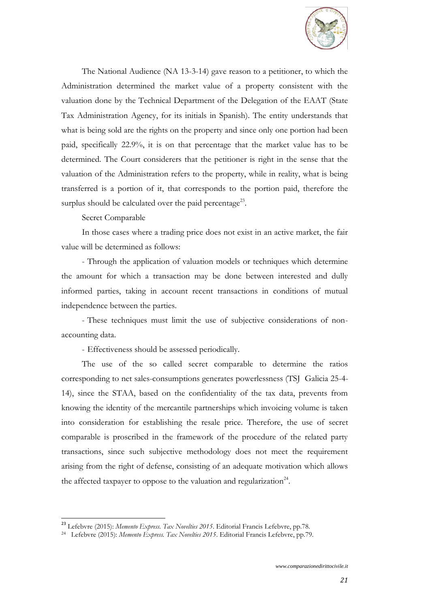

The National Audience (NA 13-3-14) gave reason to a petitioner, to which the Administration determined the market value of a property consistent with the valuation done by the Technical Department of the Delegation of the EAAT (State Tax Administration Agency, for its initials in Spanish). The entity understands that what is being sold are the rights on the property and since only one portion had been paid, specifically 22.9%, it is on that percentage that the market value has to be determined. The Court considerers that the petitioner is right in the sense that the valuation of the Administration refers to the property, while in reality, what is being transferred is a portion of it, that corresponds to the portion paid, therefore the surplus should be calculated over the paid percentage<sup>23</sup>.

#### Secret Comparable

 $\overline{a}$ 

In those cases where a trading price does not exist in an active market, the fair value will be determined as follows:

- Through the application of valuation models or techniques which determine the amount for which a transaction may be done between interested and dully informed parties, taking in account recent transactions in conditions of mutual independence between the parties.

- These techniques must limit the use of subjective considerations of nonaccounting data.

- Effectiveness should be assessed periodically.

The use of the so called secret comparable to determine the ratios corresponding to net sales-consumptions generates powerlessness (TSJ Galicia 25-4- 14), since the STAA, based on the confidentiality of the tax data, prevents from knowing the identity of the mercantile partnerships which invoicing volume is taken into consideration for establishing the resale price. Therefore, the use of secret comparable is proscribed in the framework of the procedure of the related party transactions, since such subjective methodology does not meet the requirement arising from the right of defense, consisting of an adequate motivation which allows the affected taxpayer to oppose to the valuation and regularization<sup>24</sup>.

<sup>23</sup> Lefebvre (2015): *Memento Express. Tax Novelties 2015*. Editorial Francis Lefebvre, pp.78.

<sup>24</sup> Lefebvre (2015): *Memento Express. Tax Novelties 2015*. Editorial Francis Lefebvre, pp.79.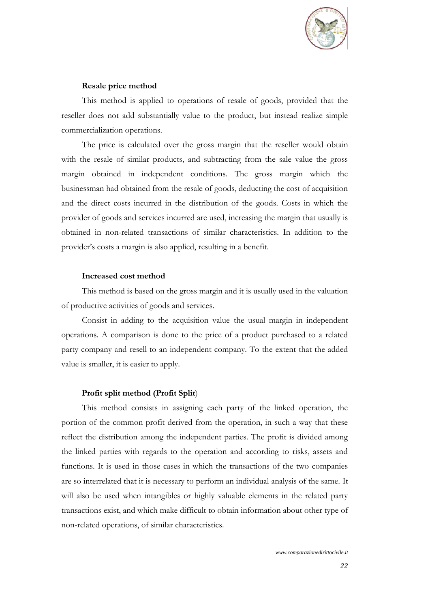

#### **Resale price method**

This method is applied to operations of resale of goods, provided that the reseller does not add substantially value to the product, but instead realize simple commercialization operations.

The price is calculated over the gross margin that the reseller would obtain with the resale of similar products, and subtracting from the sale value the gross margin obtained in independent conditions. The gross margin which the businessman had obtained from the resale of goods, deducting the cost of acquisition and the direct costs incurred in the distribution of the goods. Costs in which the provider of goods and services incurred are used, increasing the margin that usually is obtained in non-related transactions of similar characteristics. In addition to the provider's costs a margin is also applied, resulting in a benefit.

#### **Increased cost method**

This method is based on the gross margin and it is usually used in the valuation of productive activities of goods and services.

Consist in adding to the acquisition value the usual margin in independent operations. A comparison is done to the price of a product purchased to a related party company and resell to an independent company. To the extent that the added value is smaller, it is easier to apply.

#### **Profit split method (Profit Split**)

This method consists in assigning each party of the linked operation, the portion of the common profit derived from the operation, in such a way that these reflect the distribution among the independent parties. The profit is divided among the linked parties with regards to the operation and according to risks, assets and functions. It is used in those cases in which the transactions of the two companies are so interrelated that it is necessary to perform an individual analysis of the same. It will also be used when intangibles or highly valuable elements in the related party transactions exist, and which make difficult to obtain information about other type of non-related operations, of similar characteristics.

*www.comparazionedirittocivile.it*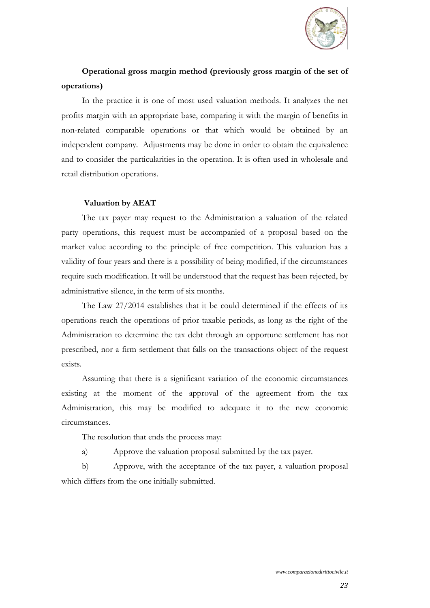

# **Operational gross margin method (previously gross margin of the set of operations)**

In the practice it is one of most used valuation methods. It analyzes the net profits margin with an appropriate base, comparing it with the margin of benefits in non-related comparable operations or that which would be obtained by an independent company. Adjustments may be done in order to obtain the equivalence and to consider the particularities in the operation. It is often used in wholesale and retail distribution operations.

# **Valuation by AEAT**

The tax payer may request to the Administration a valuation of the related party operations, this request must be accompanied of a proposal based on the market value according to the principle of free competition. This valuation has a validity of four years and there is a possibility of being modified, if the circumstances require such modification. It will be understood that the request has been rejected, by administrative silence, in the term of six months.

The Law 27/2014 establishes that it be could determined if the effects of its operations reach the operations of prior taxable periods, as long as the right of the Administration to determine the tax debt through an opportune settlement has not prescribed, nor a firm settlement that falls on the transactions object of the request exists.

Assuming that there is a significant variation of the economic circumstances existing at the moment of the approval of the agreement from the tax Administration, this may be modified to adequate it to the new economic circumstances.

The resolution that ends the process may:

a) Approve the valuation proposal submitted by the tax payer.

b) Approve, with the acceptance of the tax payer, a valuation proposal which differs from the one initially submitted.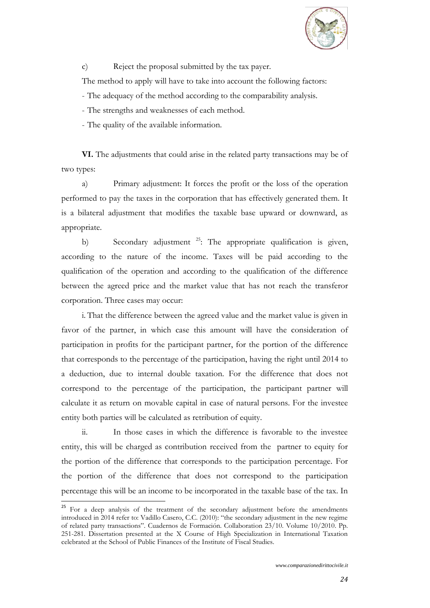

c) Reject the proposal submitted by the tax payer.

The method to apply will have to take into account the following factors:

- The adequacy of the method according to the comparability analysis.

- The strengths and weaknesses of each method.

- The quality of the available information.

**VI.** The adjustments that could arise in the related party transactions may be of two types:

a) Primary adjustment: It forces the profit or the loss of the operation performed to pay the taxes in the corporation that has effectively generated them. It is a bilateral adjustment that modifies the taxable base upward or downward, as appropriate.

b) Secondary adjustment <sup>25</sup>: The appropriate qualification is given, according to the nature of the income. Taxes will be paid according to the qualification of the operation and according to the qualification of the difference between the agreed price and the market value that has not reach the transferor corporation. Three cases may occur:

i. That the difference between the agreed value and the market value is given in favor of the partner, in which case this amount will have the consideration of participation in profits for the participant partner, for the portion of the difference that corresponds to the percentage of the participation, having the right until 2014 to a deduction, due to internal double taxation. For the difference that does not correspond to the percentage of the participation, the participant partner will calculate it as return on movable capital in case of natural persons. For the investee entity both parties will be calculated as retribution of equity.

ii. In those cases in which the difference is favorable to the investee entity, this will be charged as contribution received from the partner to equity for the portion of the difference that corresponds to the participation percentage. For the portion of the difference that does not correspond to the participation percentage this will be an income to be incorporated in the taxable base of the tax. In

 $^{25}$  For a deep analysis of the treatment of the secondary adjustment before the amendments introduced in 2014 refer to: Vadillo Casero, C.C. (2010): "the secondary adjustment in the new regime of related party transactions". Cuadernos de Formación. Collaboration 23/10. Volume 10/2010. Pp. 251-281. Dissertation presented at the X Course of High Specialization in International Taxation celebrated at the School of Public Finances of the Institute of Fiscal Studies.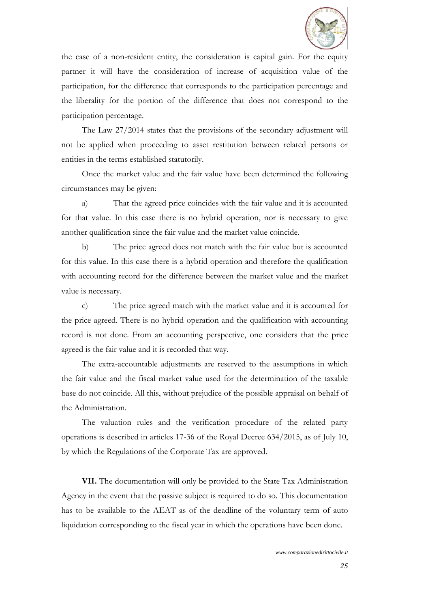

the case of a non-resident entity, the consideration is capital gain. For the equity partner it will have the consideration of increase of acquisition value of the participation, for the difference that corresponds to the participation percentage and the liberality for the portion of the difference that does not correspond to the participation percentage.

The Law 27/2014 states that the provisions of the secondary adjustment will not be applied when proceeding to asset restitution between related persons or entities in the terms established statutorily.

Once the market value and the fair value have been determined the following circumstances may be given:

a) That the agreed price coincides with the fair value and it is accounted for that value. In this case there is no hybrid operation, nor is necessary to give another qualification since the fair value and the market value coincide.

b) The price agreed does not match with the fair value but is accounted for this value. In this case there is a hybrid operation and therefore the qualification with accounting record for the difference between the market value and the market value is necessary.

c) The price agreed match with the market value and it is accounted for the price agreed. There is no hybrid operation and the qualification with accounting record is not done. From an accounting perspective, one considers that the price agreed is the fair value and it is recorded that way.

The extra-accountable adjustments are reserved to the assumptions in which the fair value and the fiscal market value used for the determination of the taxable base do not coincide. All this, without prejudice of the possible appraisal on behalf of the Administration.

The valuation rules and the verification procedure of the related party operations is described in articles 17-36 of the Royal Decree 634/2015, as of July 10, by which the Regulations of the Corporate Tax are approved.

**VII.** The documentation will only be provided to the State Tax Administration Agency in the event that the passive subject is required to do so. This documentation has to be available to the AEAT as of the deadline of the voluntary term of auto liquidation corresponding to the fiscal year in which the operations have been done.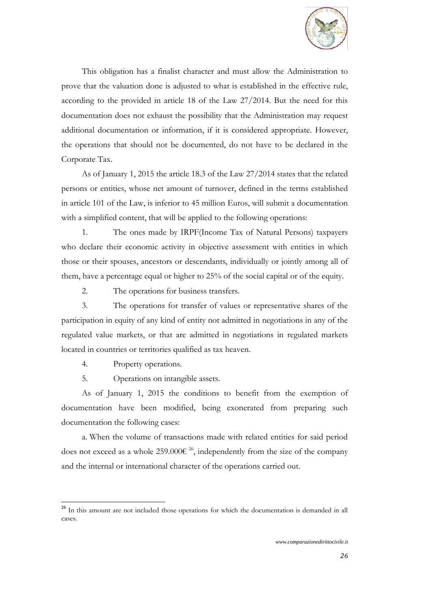

This obligation has a finalist character and must allow the Administration to prove that the valuation done is adjusted to what is established in the effective rule, according to the provided in article 18 of the Law 27/2014. But the need for this documentation does not exhaust the possibility that the Administration may request additional documentation or information, if it is considered appropriate. However, the operations that should not be documented, do not have to be declared in the Corporate Tax.

As of January 1, 2015 the article 18.3 of the Law 27/2014 states that the related persons or entities, whose net amount of turnover, defined in the terms established in article 101 of the Law, is inferior to 45 million Euros, will submit a documentation with a simplified content, that will be applied to the following operations:

1. The ones made by IRPF(Income Tax of Natural Persons) taxpayers who declare their economic activity in objective assessment with entities in which those or their spouses, ancestors or descendants, individually or jointly among all of them, have a percentage equal or higher to 25% of the social capital or of the equity.

2. The operations for business transfers.

3. The operations for transfer of values or representative shares of the participation in equity of any kind of entity not admitted in negotiations in any of the regulated value markets, or that are admitted in negotiations in regulated markets located in countries or territories qualified as tax heaven.

4. Property operations.

 $\overline{a}$ 

5. Operations on intangible assets.

As of January 1, 2015 the conditions to benefit from the exemption of documentation have been modified, being exonerated from preparing such documentation the following cases:

a. When the volume of transactions made with related entities for said period does not exceed as a whole 259.000 $\varepsilon^{26}$ , independently from the size of the company and the internal or international character of the operations carried out.

<sup>&</sup>lt;sup>26</sup> In this amount are not included those operations for which the documentation is demanded in all cases.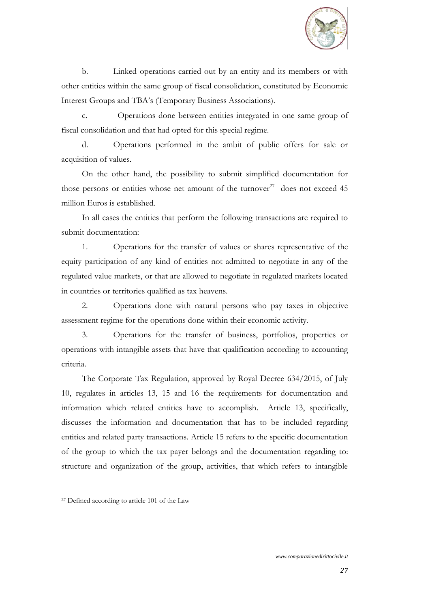

b. Linked operations carried out by an entity and its members or with other entities within the same group of fiscal consolidation, constituted by Economic Interest Groups and TBA's (Temporary Business Associations).

c. Operations done between entities integrated in one same group of fiscal consolidation and that had opted for this special regime.

d. Operations performed in the ambit of public offers for sale or acquisition of values.

On the other hand, the possibility to submit simplified documentation for those persons or entities whose net amount of the turnover<sup>27</sup> does not exceed 45 million Euros is established.

In all cases the entities that perform the following transactions are required to submit documentation:

1. Operations for the transfer of values or shares representative of the equity participation of any kind of entities not admitted to negotiate in any of the regulated value markets, or that are allowed to negotiate in regulated markets located in countries or territories qualified as tax heavens.

2. Operations done with natural persons who pay taxes in objective assessment regime for the operations done within their economic activity.

3. Operations for the transfer of business, portfolios, properties or operations with intangible assets that have that qualification according to accounting criteria.

The Corporate Tax Regulation, approved by Royal Decree 634/2015, of July 10, regulates in articles 13, 15 and 16 the requirements for documentation and information which related entities have to accomplish. Article 13, specifically, discusses the information and documentation that has to be included regarding entities and related party transactions. Article 15 refers to the specific documentation of the group to which the tax payer belongs and the documentation regarding to: structure and organization of the group, activities, that which refers to intangible

<sup>27</sup> Defined according to article 101 of the Law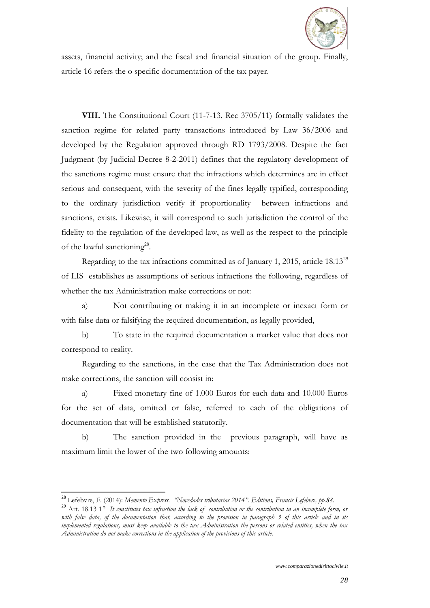

assets, financial activity; and the fiscal and financial situation of the group. Finally, article 16 refers the o specific documentation of the tax payer.

**VIII.** The Constitutional Court (11-7-13. Rec 3705/11) formally validates the sanction regime for related party transactions introduced by Law 36/2006 and developed by the Regulation approved through RD 1793/2008. Despite the fact Judgment (by Judicial Decree 8-2-2011) defines that the regulatory development of the sanctions regime must ensure that the infractions which determines are in effect serious and consequent, with the severity of the fines legally typified, corresponding to the ordinary jurisdiction verify if proportionality between infractions and sanctions, exists. Likewise, it will correspond to such jurisdiction the control of the fidelity to the regulation of the developed law, as well as the respect to the principle of the lawful sanctioning<sup>28</sup>.

Regarding to the tax infractions committed as of January 1, 2015, article  $18.13^{29}$ of LIS establishes as assumptions of serious infractions the following, regardless of whether the tax Administration make corrections or not:

a) Not contributing or making it in an incomplete or inexact form or with false data or falsifying the required documentation, as legally provided,

b) To state in the required documentation a market value that does not correspond to reality.

Regarding to the sanctions, in the case that the Tax Administration does not make corrections, the sanction will consist in:

a) Fixed monetary fine of 1.000 Euros for each data and 10.000 Euros for the set of data, omitted or false, referred to each of the obligations of documentation that will be established statutorily.

b) The sanction provided in the previous paragraph, will have as maximum limit the lower of the two following amounts:

<sup>28</sup> Lefebvre, F. (2014): *Memento Express. "Novedades tributarias 2014". Editions, Francis Lefebvre, pp.88.*

<sup>&</sup>lt;sup>29</sup> Art. 18.13 1<sup>°</sup> It constitutes tax infraction the lack of contribution or the contribution in an incomplete form, or *with false data, of the documentation that, according to the provision in paragraph 3 of this article and in its implemented regulations, must keep available to the tax Administration the persons or related entities, when the tax Administration do not make corrections in the application of the provisions of this article.*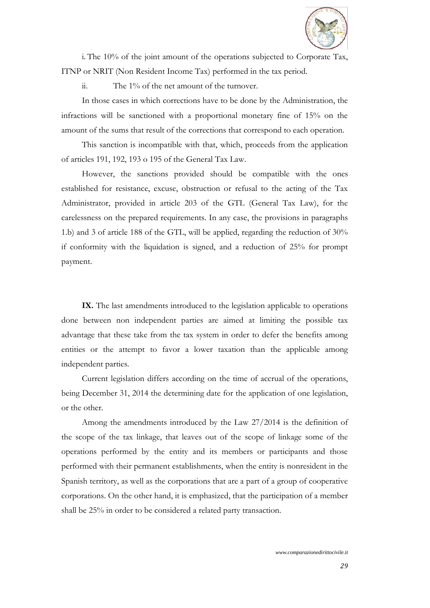

i. The 10% of the joint amount of the operations subjected to Corporate Tax, ITNP or NRIT (Non Resident Income Tax) performed in the tax period.

ii. The 1% of the net amount of the turnover.

In those cases in which corrections have to be done by the Administration, the infractions will be sanctioned with a proportional monetary fine of 15% on the amount of the sums that result of the corrections that correspond to each operation.

This sanction is incompatible with that, which, proceeds from the application of articles 191, 192, 193 o 195 of the General Tax Law.

However, the sanctions provided should be compatible with the ones established for resistance, excuse, obstruction or refusal to the acting of the Tax Administrator, provided in article 203 of the GTL (General Tax Law), for the carelessness on the prepared requirements. In any case, the provisions in paragraphs 1.b) and 3 of article 188 of the GTL, will be applied, regarding the reduction of 30% if conformity with the liquidation is signed, and a reduction of 25% for prompt payment.

**IX.** The last amendments introduced to the legislation applicable to operations done between non independent parties are aimed at limiting the possible tax advantage that these take from the tax system in order to defer the benefits among entities or the attempt to favor a lower taxation than the applicable among independent parties.

Current legislation differs according on the time of accrual of the operations, being December 31, 2014 the determining date for the application of one legislation, or the other.

Among the amendments introduced by the Law 27/2014 is the definition of the scope of the tax linkage, that leaves out of the scope of linkage some of the operations performed by the entity and its members or participants and those performed with their permanent establishments, when the entity is nonresident in the Spanish territory, as well as the corporations that are a part of a group of cooperative corporations. On the other hand, it is emphasized, that the participation of a member shall be 25% in order to be considered a related party transaction.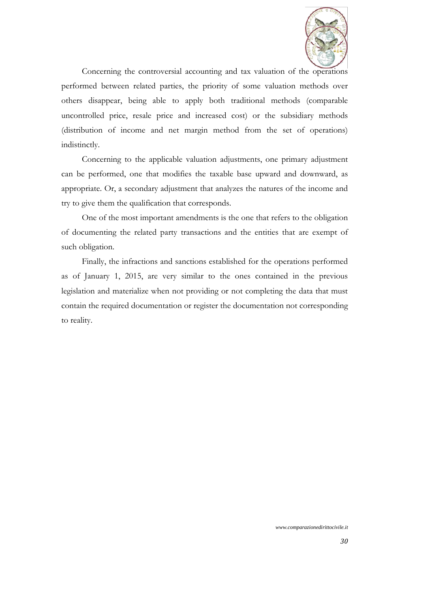

Concerning the controversial accounting and tax valuation of the operations performed between related parties, the priority of some valuation methods over others disappear, being able to apply both traditional methods (comparable uncontrolled price, resale price and increased cost) or the subsidiary methods (distribution of income and net margin method from the set of operations) indistinctly.

Concerning to the applicable valuation adjustments, one primary adjustment can be performed, one that modifies the taxable base upward and downward, as appropriate. Or, a secondary adjustment that analyzes the natures of the income and try to give them the qualification that corresponds.

One of the most important amendments is the one that refers to the obligation of documenting the related party transactions and the entities that are exempt of such obligation.

Finally, the infractions and sanctions established for the operations performed as of January 1, 2015, are very similar to the ones contained in the previous legislation and materialize when not providing or not completing the data that must contain the required documentation or register the documentation not corresponding to reality.

*www.comparazionedirittocivile.it*